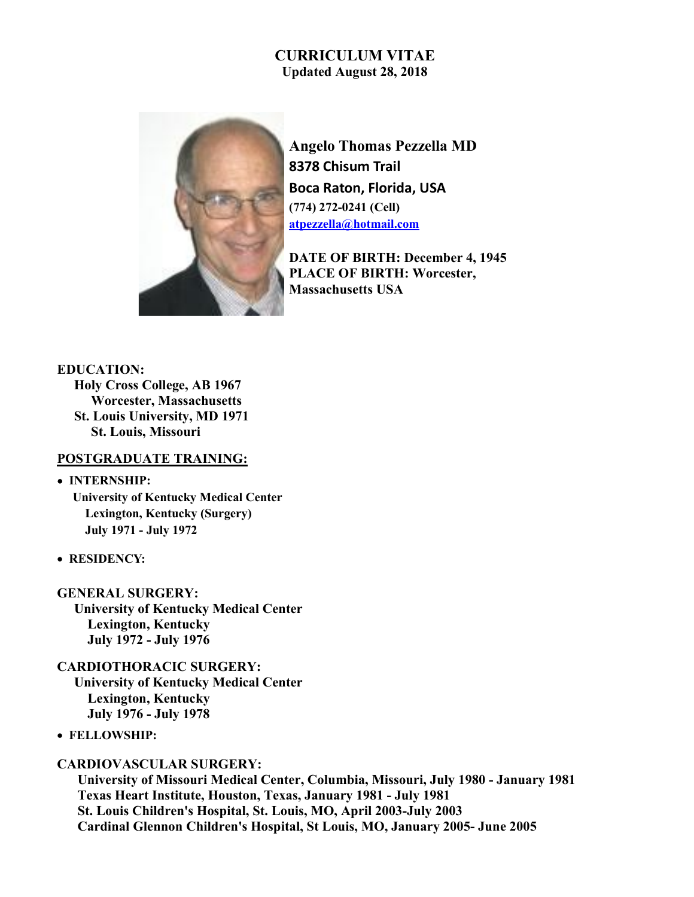# CURRICULUM VITAE Updated August 28, 2018



Angelo Thomas Pezzella MD 8378 Chisum Trail Boca Raton, Florida, USA (774) 272-0241 (Cell) atpezzella@hotmail.com

DATE OF BIRTH: December 4, 1945 PLACE OF BIRTH: Worcester, Massachusetts USA

EDUCATION: Holy Cross College, AB 1967 Worcester, Massachusetts St. Louis University, MD 1971 St. Louis, Missouri

## POSTGRADUATE TRAINING:

## • INTERNSHIP:

 University of Kentucky Medical Center Lexington, Kentucky (Surgery) July 1971 - July 1972

- RESIDENCY:
- GENERAL SURGERY: University of Kentucky Medical Center Lexington, Kentucky July 1972 - July 1976

CARDIOTHORACIC SURGERY: University of Kentucky Medical Center Lexington, Kentucky July 1976 - July 1978

FELLOWSHIP:

## CARDIOVASCULAR SURGERY:

University of Missouri Medical Center, Columbia, Missouri, July 1980 - January 1981 Texas Heart Institute, Houston, Texas, January 1981 - July 1981 St. Louis Children's Hospital, St. Louis, MO, April 2003-July 2003 Cardinal Glennon Children's Hospital, St Louis, MO, January 2005- June 2005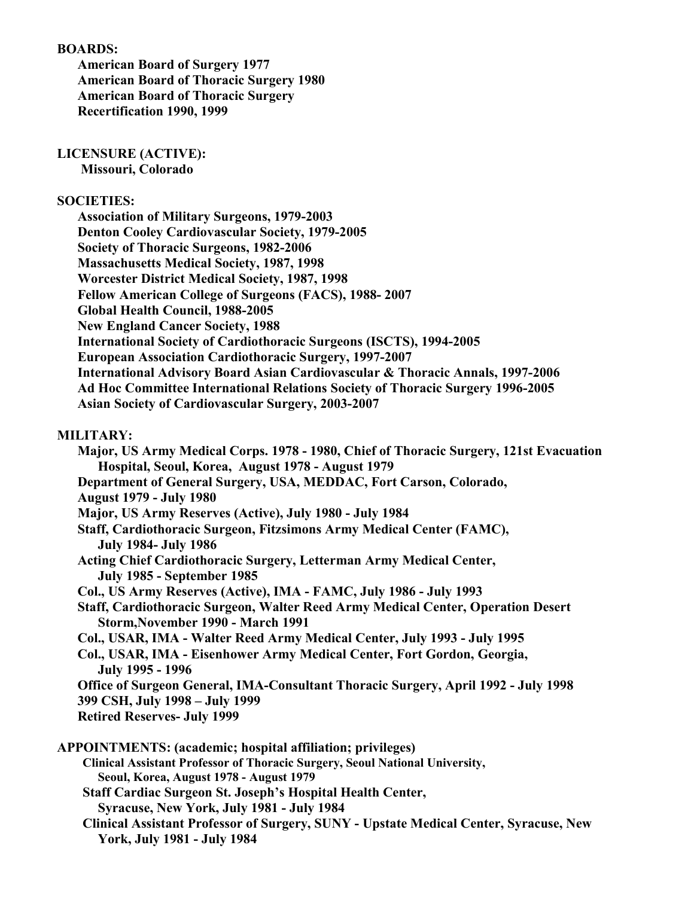## BOARDS:

American Board of Surgery 1977 American Board of Thoracic Surgery 1980 American Board of Thoracic Surgery Recertification 1990, 1999

### LICENSURE (ACTIVE):

Missouri, Colorado

#### SOCIETIES:

| <b>Association of Military Surgeons, 1979-2003</b>                                        |
|-------------------------------------------------------------------------------------------|
| <b>Denton Cooley Cardiovascular Society, 1979-2005</b>                                    |
| Society of Thoracic Surgeons, 1982-2006                                                   |
| <b>Massachusetts Medical Society, 1987, 1998</b>                                          |
| <b>Worcester District Medical Society, 1987, 1998</b>                                     |
| Fellow American College of Surgeons (FACS), 1988-2007                                     |
| Global Health Council, 1988-2005                                                          |
| <b>New England Cancer Society, 1988</b>                                                   |
| <b>International Society of Cardiothoracic Surgeons (ISCTS), 1994-2005</b>                |
| <b>European Association Cardiothoracic Surgery, 1997-2007</b>                             |
| <b>International Advisory Board Asian Cardiovascular &amp; Thoracic Annals, 1997-2006</b> |
| Ad Hoc Committee International Relations Society of Thoracic Surgery 1996-2005            |
| <b>Asian Society of Cardiovascular Surgery, 2003-2007</b>                                 |

#### MILITARY:

Major, US Army Medical Corps. 1978 - 1980, Chief of Thoracic Surgery, 121st Evacuation Hospital, Seoul, Korea, August 1978 - August 1979 Department of General Surgery, USA, MEDDAC, Fort Carson, Colorado, August 1979 - July 1980 Major, US Army Reserves (Active), July 1980 - July 1984 Staff, Cardiothoracic Surgeon, Fitzsimons Army Medical Center (FAMC), July 1984- July 1986 Acting Chief Cardiothoracic Surgery, Letterman Army Medical Center, July 1985 - September 1985 Col., US Army Reserves (Active), IMA - FAMC, July 1986 - July 1993 Staff, Cardiothoracic Surgeon, Walter Reed Army Medical Center, Operation Desert Storm,November 1990 - March 1991 Col., USAR, IMA - Walter Reed Army Medical Center, July 1993 - July 1995 Col., USAR, IMA - Eisenhower Army Medical Center, Fort Gordon, Georgia, July 1995 - 1996 Office of Surgeon General, IMA-Consultant Thoracic Surgery, April 1992 - July 1998 399 CSH, July 1998 – July 1999 Retired Reserves- July 1999 APPOINTMENTS: (academic; hospital affiliation; privileges) Clinical Assistant Professor of Thoracic Surgery, Seoul National University, Seoul, Korea, August 1978 - August 1979 Staff Cardiac Surgeon St. Joseph's Hospital Health Center, Syracuse, New York, July 1981 - July 1984 Clinical Assistant Professor of Surgery, SUNY - Upstate Medical Center, Syracuse, New York, July 1981 - July 1984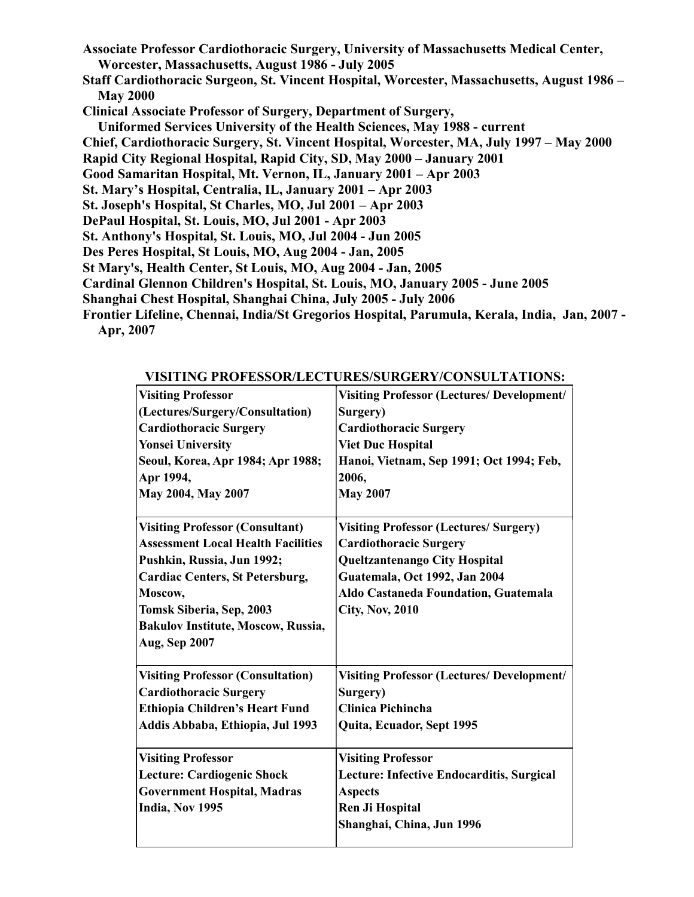- Associate Professor Cardiothoracic Surgery, University of Massachusetts Medical Center, Worcester, Massachusetts, August 1986 - July 2005 Staff Cardiothoracic Surgeon, St. Vincent Hospital, Worcester, Massachusetts, August 1986 – **May 2000** Clinical Associate Professor of Surgery, Department of Surgery, Uniformed Services University of the Health Sciences, May 1988 - current Chief, Cardiothoracic Surgery, St. Vincent Hospital, Worcester, MA, July 1997 – May 2000 Rapid City Regional Hospital, Rapid City, SD, May 2000 – January 2001 Good Samaritan Hospital, Mt. Vernon, IL, January 2001 – Apr 2003 St. Mary's Hospital, Centralia, IL, January 2001 – Apr 2003 St. Joseph's Hospital, St Charles, MO, Jul 2001 – Apr 2003 DePaul Hospital, St. Louis, MO, Jul 2001 - Apr 2003 St. Anthony's Hospital, St. Louis, MO, Jul 2004 - Jun 2005 Des Peres Hospital, St Louis, MO, Aug 2004 - Jan, 2005 St Mary's, Health Center, St Louis, MO, Aug 2004 - Jan, 2005 Cardinal Glennon Children's Hospital, St. Louis, MO, January 2005 - June 2005 Shanghai Chest Hospital, Shanghai China, July 2005 - July 2006
- Frontier Lifeline, Chennai, India/St Gregorios Hospital, Parumula, Kerala, India, Jan, 2007 Apr, 2007

|                                           | $\mathbf{r}$ is the two model component $\mathbf{r}$ consequently. |
|-------------------------------------------|--------------------------------------------------------------------|
| <b>Visiting Professor</b>                 | <b>Visiting Professor (Lectures/ Development/</b>                  |
| (Lectures/Surgery/Consultation)           | Surgery)                                                           |
| <b>Cardiothoracic Surgery</b>             | <b>Cardiothoracic Surgery</b>                                      |
| <b>Yonsei University</b>                  | <b>Viet Duc Hospital</b>                                           |
| Seoul, Korea, Apr 1984; Apr 1988;         | Hanoi, Vietnam, Sep 1991; Oct 1994; Feb,                           |
| Apr 1994,                                 | 2006,                                                              |
| May 2004, May 2007                        | <b>May 2007</b>                                                    |
| <b>Visiting Professor (Consultant)</b>    | <b>Visiting Professor (Lectures/ Surgery)</b>                      |
| <b>Assessment Local Health Facilities</b> | <b>Cardiothoracic Surgery</b>                                      |
| Pushkin, Russia, Jun 1992;                | <b>Queltzantenango City Hospital</b>                               |
| <b>Cardiac Centers, St Petersburg,</b>    | Guatemala, Oct 1992, Jan 2004                                      |
| Moscow,                                   | Aldo Castaneda Foundation, Guatemala                               |
| Tomsk Siberia, Sep, 2003                  | <b>City, Nov, 2010</b>                                             |
| <b>Bakulov Institute, Moscow, Russia,</b> |                                                                    |
| <b>Aug, Sep 2007</b>                      |                                                                    |
| <b>Visiting Professor (Consultation)</b>  | <b>Visiting Professor (Lectures/ Development/</b>                  |
| <b>Cardiothoracic Surgery</b>             | Surgery)                                                           |
| Ethiopia Children's Heart Fund            | <b>Clinica Pichincha</b>                                           |
| Addis Abbaba, Ethiopia, Jul 1993          | Quita, Ecuador, Sept 1995                                          |
| <b>Visiting Professor</b>                 | <b>Visiting Professor</b>                                          |
| Lecture: Cardiogenic Shock                | Lecture: Infective Endocarditis, Surgical                          |
| <b>Government Hospital, Madras</b>        | <b>Aspects</b>                                                     |
| India, Nov 1995                           | <b>Ren Ji Hospital</b>                                             |
|                                           | Shanghai, China, Jun 1996                                          |
|                                           |                                                                    |

VISITING PROFESSOR/LECTURES/SURGERY/CONSULTATIONS: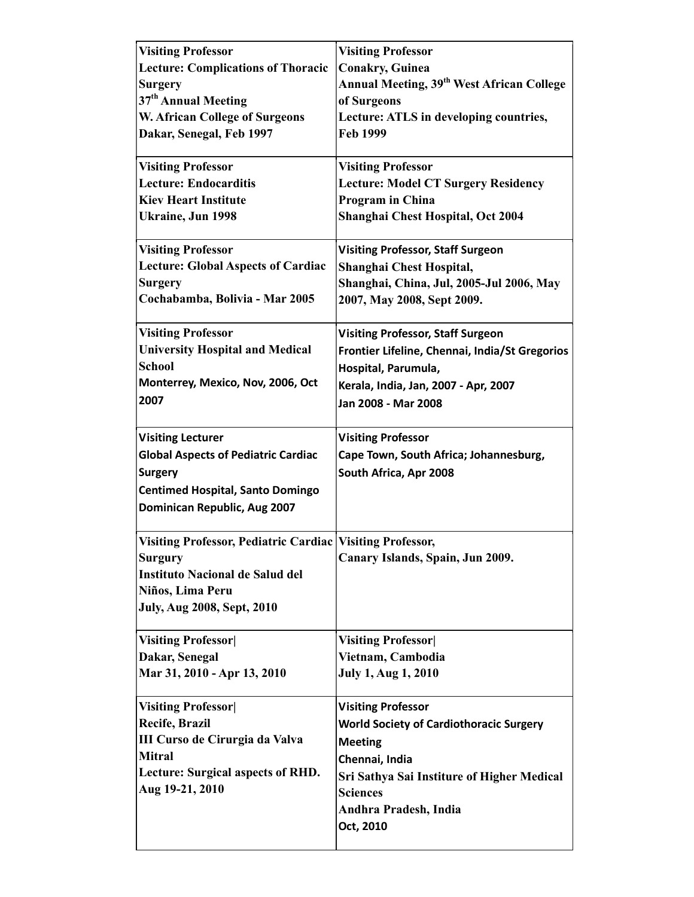| <b>Visiting Professor</b>                                   | <b>Visiting Professor</b>                             |
|-------------------------------------------------------------|-------------------------------------------------------|
| <b>Lecture: Complications of Thoracic</b>                   | <b>Conakry, Guinea</b>                                |
| <b>Surgery</b>                                              | Annual Meeting, 39 <sup>th</sup> West African College |
| 37 <sup>th</sup> Annual Meeting                             | of Surgeons                                           |
| <b>W. African College of Surgeons</b>                       | Lecture: ATLS in developing countries,                |
| Dakar, Senegal, Feb 1997                                    | Feb 1999                                              |
|                                                             |                                                       |
| <b>Visiting Professor</b>                                   | <b>Visiting Professor</b>                             |
| <b>Lecture: Endocarditis</b>                                | <b>Lecture: Model CT Surgery Residency</b>            |
| <b>Kiev Heart Institute</b>                                 | Program in China                                      |
| <b>Ukraine, Jun 1998</b>                                    | Shanghai Chest Hospital, Oct 2004                     |
|                                                             |                                                       |
| <b>Visiting Professor</b>                                   | <b>Visiting Professor, Staff Surgeon</b>              |
| <b>Lecture: Global Aspects of Cardiac</b>                   | Shanghai Chest Hospital,                              |
| <b>Surgery</b>                                              | Shanghai, China, Jul, 2005-Jul 2006, May              |
| Cochabamba, Bolivia - Mar 2005                              | 2007, May 2008, Sept 2009.                            |
|                                                             |                                                       |
| <b>Visiting Professor</b>                                   | <b>Visiting Professor, Staff Surgeon</b>              |
| <b>University Hospital and Medical</b>                      | Frontier Lifeline, Chennai, India/St Gregorios        |
| <b>School</b>                                               | Hospital, Parumula,                                   |
| Monterrey, Mexico, Nov, 2006, Oct                           | Kerala, India, Jan, 2007 - Apr, 2007                  |
| 2007                                                        | Jan 2008 - Mar 2008                                   |
|                                                             |                                                       |
| <b>Visiting Lecturer</b>                                    | <b>Visiting Professor</b>                             |
| <b>Global Aspects of Pediatric Cardiac</b>                  | Cape Town, South Africa; Johannesburg,                |
| <b>Surgery</b>                                              | South Africa, Apr 2008                                |
| <b>Centimed Hospital, Santo Domingo</b>                     |                                                       |
| Dominican Republic, Aug 2007                                |                                                       |
|                                                             |                                                       |
| Visiting Professor, Pediatric Cardiac   Visiting Professor, |                                                       |
| <b>Surgury</b>                                              | Canary Islands, Spain, Jun 2009.                      |
| <b>Instituto Nacional de Salud del</b>                      |                                                       |
| Niños, Lima Peru                                            |                                                       |
| <b>July, Aug 2008, Sept, 2010</b>                           |                                                       |
|                                                             |                                                       |
| <b>Visiting Professor</b>                                   | <b>Visiting Professor</b>                             |
| Dakar, Senegal                                              | Vietnam, Cambodia                                     |
| Mar 31, 2010 - Apr 13, 2010                                 | <b>July 1, Aug 1, 2010</b>                            |
|                                                             |                                                       |
| <b>Visiting Professor</b>                                   | <b>Visiting Professor</b>                             |
| Recife, Brazil                                              | <b>World Society of Cardiothoracic Surgery</b>        |
| III Curso de Cirurgia da Valva                              | <b>Meeting</b>                                        |
| <b>Mitral</b>                                               | Chennai, India                                        |
| Lecture: Surgical aspects of RHD.                           | Sri Sathya Sai Institure of Higher Medical            |
| Aug 19-21, 2010                                             | <b>Sciences</b>                                       |
|                                                             | Andhra Pradesh, India                                 |
|                                                             | Oct, 2010                                             |
|                                                             |                                                       |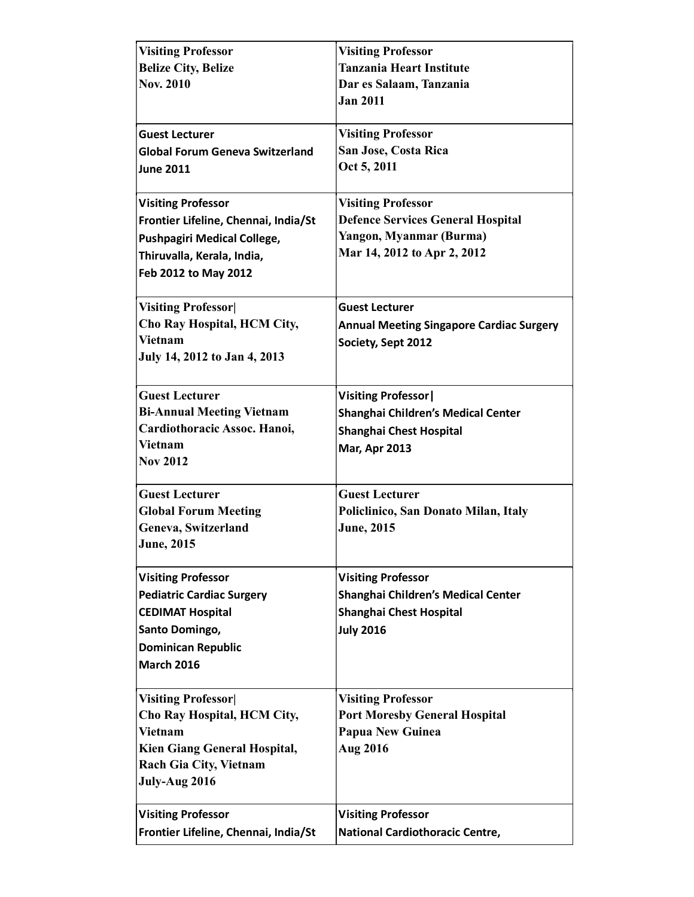| <b>Visiting Professor</b>              | <b>Visiting Professor</b>                       |  |
|----------------------------------------|-------------------------------------------------|--|
| <b>Belize City, Belize</b>             | <b>Tanzania Heart Institute</b>                 |  |
| <b>Nov. 2010</b>                       | Dar es Salaam, Tanzania                         |  |
|                                        | <b>Jan 2011</b>                                 |  |
|                                        |                                                 |  |
| <b>Guest Lecturer</b>                  | <b>Visiting Professor</b>                       |  |
| <b>Global Forum Geneva Switzerland</b> | San Jose, Costa Rica                            |  |
| <b>June 2011</b>                       | Oct 5, 2011                                     |  |
|                                        |                                                 |  |
| <b>Visiting Professor</b>              | <b>Visiting Professor</b>                       |  |
| Frontier Lifeline, Chennai, India/St   | <b>Defence Services General Hospital</b>        |  |
| <b>Pushpagiri Medical College,</b>     | Yangon, Myanmar (Burma)                         |  |
|                                        | Mar 14, 2012 to Apr 2, 2012                     |  |
| Thiruvalla, Kerala, India,             |                                                 |  |
| Feb 2012 to May 2012                   |                                                 |  |
|                                        | <b>Guest Lecturer</b>                           |  |
| <b>Visiting Professor</b>              |                                                 |  |
| Cho Ray Hospital, HCM City,            | <b>Annual Meeting Singapore Cardiac Surgery</b> |  |
| <b>Vietnam</b>                         | Society, Sept 2012                              |  |
| July 14, 2012 to Jan 4, 2013           |                                                 |  |
| <b>Guest Lecturer</b>                  |                                                 |  |
|                                        | <b>Visiting Professor</b>                       |  |
| <b>Bi-Annual Meeting Vietnam</b>       | Shanghai Children's Medical Center              |  |
| Cardiothoracic Assoc. Hanoi,           | Shanghai Chest Hospital                         |  |
| <b>Vietnam</b>                         | <b>Mar, Apr 2013</b>                            |  |
| <b>Nov 2012</b>                        |                                                 |  |
| <b>Guest Lecturer</b>                  | <b>Guest Lecturer</b>                           |  |
| <b>Global Forum Meeting</b>            | Policlinico, San Donato Milan, Italy            |  |
| Geneva, Switzerland                    | <b>June, 2015</b>                               |  |
| <b>June</b> , 2015                     |                                                 |  |
|                                        |                                                 |  |
| <b>Visiting Professor</b>              | <b>Visiting Professor</b>                       |  |
| <b>Pediatric Cardiac Surgery</b>       | Shanghai Children's Medical Center              |  |
| <b>CEDIMAT Hospital</b>                | Shanghai Chest Hospital                         |  |
| Santo Domingo,                         | <b>July 2016</b>                                |  |
| <b>Dominican Republic</b>              |                                                 |  |
| <b>March 2016</b>                      |                                                 |  |
|                                        |                                                 |  |
| <b>Visiting Professor</b>              | <b>Visiting Professor</b>                       |  |
| Cho Ray Hospital, HCM City,            | <b>Port Moresby General Hospital</b>            |  |
| <b>Vietnam</b>                         | <b>Papua New Guinea</b>                         |  |
| <b>Kien Giang General Hospital,</b>    | <b>Aug 2016</b>                                 |  |
| <b>Rach Gia City, Vietnam</b>          |                                                 |  |
| July-Aug 2016                          |                                                 |  |
|                                        |                                                 |  |
| <b>Visiting Professor</b>              | <b>Visiting Professor</b>                       |  |
| Frontier Lifeline, Chennai, India/St   | National Cardiothoracic Centre,                 |  |
|                                        |                                                 |  |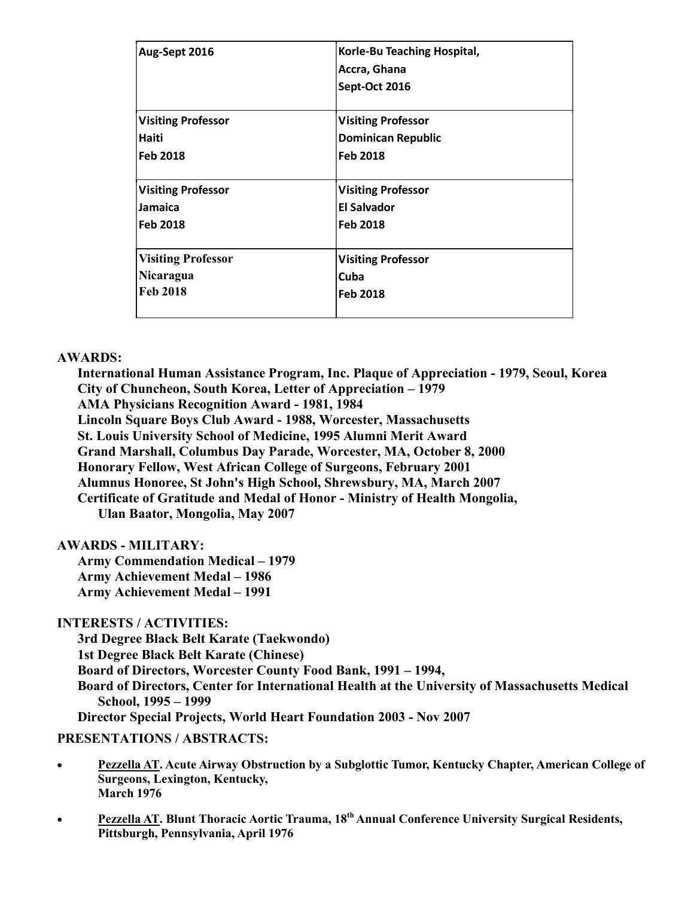| Aug-Sept 2016             | Korle-Bu Teaching Hospital,<br>Accra, Ghana<br>Sept-Oct 2016 |  |
|---------------------------|--------------------------------------------------------------|--|
| <b>Visiting Professor</b> | <b>Visiting Professor</b>                                    |  |
| Haiti                     | <b>Dominican Republic</b>                                    |  |
| <b>Feb 2018</b>           | <b>Feb 2018</b>                                              |  |
| <b>Visiting Professor</b> | <b>Visiting Professor</b>                                    |  |
| <b>Jamaica</b>            | <b>El Salvador</b>                                           |  |
| <b>Feb 2018</b>           | <b>Feb 2018</b>                                              |  |
| <b>Visiting Professor</b> | <b>Visiting Professor</b>                                    |  |
| Nicaragua                 | Cuba                                                         |  |
| <b>Feb 2018</b>           | <b>Feb 2018</b>                                              |  |

## AWARDS:

International Human Assistance Program, Inc. Plaque of Appreciation - 1979, Seoul, Korea City of Chuncheon, South Korea, Letter of Appreciation – 1979 AMA Physicians Recognition Award - 1981, 1984 Lincoln Square Boys Club Award - 1988, Worcester, Massachusetts St. Louis University School of Medicine, 1995 Alumni Merit Award Grand Marshall, Columbus Day Parade, Worcester, MA, October 8, 2000 Honorary Fellow, West African College of Surgeons, February 2001 Alumnus Honoree, St John's High School, Shrewsbury, MA, March 2007 Certificate of Gratitude and Medal of Honor - Ministry of Health Mongolia, Ulan Baator, Mongolia, May 2007

## AWARDS - MILITARY:

Army Commendation Medical – 1979 Army Achievement Medal – 1986 Army Achievement Medal – 1991

## INTERESTS / ACTIVITIES:

3rd Degree Black Belt Karate (Taekwondo) 1st Degree Black Belt Karate (Chinese) Board of Directors, Worcester County Food Bank, 1991 – 1994, Board of Directors, Center for International Health at the University of Massachusetts Medical School, 1995 – 1999 Director Special Projects, World Heart Foundation 2003 - Nov 2007

## PRESENTATIONS / ABSTRACTS:

- Pezzella AT. Acute Airway Obstruction by a Subglottic Tumor, Kentucky Chapter, American College of Surgeons, Lexington, Kentucky, March 1976
- Pezzella AT. Blunt Thoracic Aortic Trauma, 18<sup>th</sup> Annual Conference University Surgical Residents, Pittsburgh, Pennsylvania, April 1976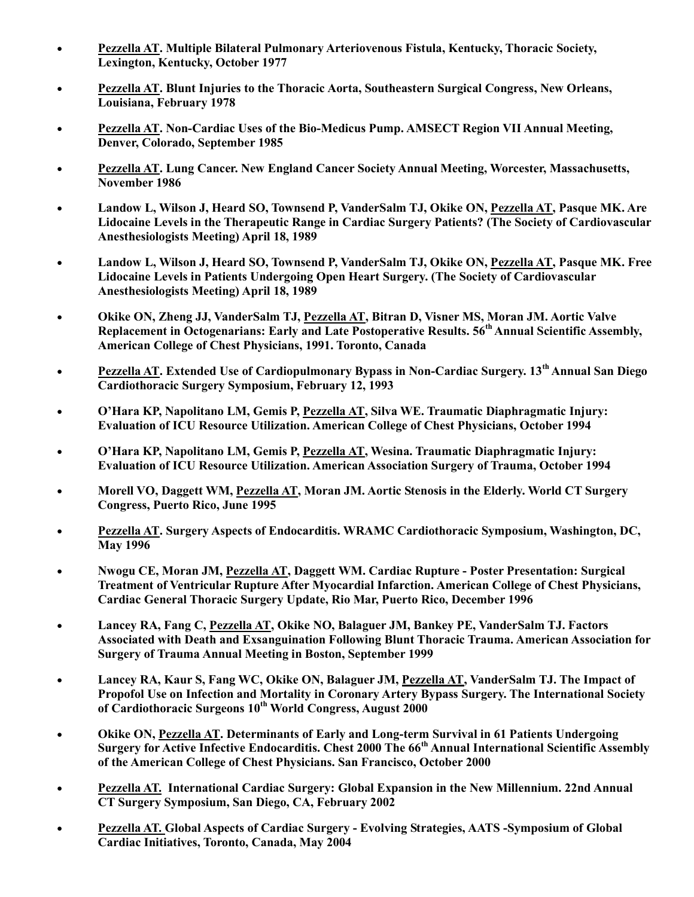- Pezzella AT. Multiple Bilateral Pulmonary Arteriovenous Fistula, Kentucky, Thoracic Society, Lexington, Kentucky, October 1977
- Pezzella AT. Blunt Injuries to the Thoracic Aorta, Southeastern Surgical Congress, New Orleans, Louisiana, February 1978
- Pezzella AT. Non-Cardiac Uses of the Bio-Medicus Pump. AMSECT Region VII Annual Meeting, Denver, Colorado, September 1985
- Pezzella AT. Lung Cancer. New England Cancer Society Annual Meeting, Worcester, Massachusetts, November 1986
- Landow L, Wilson J, Heard SO, Townsend P, VanderSalm TJ, Okike ON, Pezzella AT, Pasque MK. Are Lidocaine Levels in the Therapeutic Range in Cardiac Surgery Patients? (The Society of Cardiovascular Anesthesiologists Meeting) April 18, 1989
- Landow L, Wilson J, Heard SO, Townsend P, VanderSalm TJ, Okike ON, Pezzella AT, Pasque MK. Free Lidocaine Levels in Patients Undergoing Open Heart Surgery. (The Society of Cardiovascular Anesthesiologists Meeting) April 18, 1989
- Okike ON, Zheng JJ, VanderSalm TJ, Pezzella AT, Bitran D, Visner MS, Moran JM. Aortic Valve Replacement in Octogenarians: Early and Late Postoperative Results. 56<sup>th</sup> Annual Scientific Assembly, American College of Chest Physicians, 1991. Toronto, Canada
- Pezzella AT. Extended Use of Cardiopulmonary Bypass in Non-Cardiac Surgery. 13<sup>th</sup> Annual San Diego Cardiothoracic Surgery Symposium, February 12, 1993
- O'Hara KP, Napolitano LM, Gemis P, Pezzella AT, Silva WE. Traumatic Diaphragmatic Injury: Evaluation of ICU Resource Utilization. American College of Chest Physicians, October 1994
- O'Hara KP, Napolitano LM, Gemis P, Pezzella AT, Wesina. Traumatic Diaphragmatic Injury: Evaluation of ICU Resource Utilization. American Association Surgery of Trauma, October 1994
- Morell VO, Daggett WM, Pezzella AT, Moran JM. Aortic Stenosis in the Elderly. World CT Surgery Congress, Puerto Rico, June 1995
- Pezzella AT. Surgery Aspects of Endocarditis. WRAMC Cardiothoracic Symposium, Washington, DC, May 1996
- Nwogu CE, Moran JM, Pezzella AT, Daggett WM. Cardiac Rupture Poster Presentation: Surgical Treatment of Ventricular Rupture After Myocardial Infarction. American College of Chest Physicians, Cardiac General Thoracic Surgery Update, Rio Mar, Puerto Rico, December 1996
- Lancey RA, Fang C, Pezzella AT, Okike NO, Balaguer JM, Bankey PE, VanderSalm TJ. Factors Associated with Death and Exsanguination Following Blunt Thoracic Trauma. American Association for Surgery of Trauma Annual Meeting in Boston, September 1999
- Lancey RA, Kaur S, Fang WC, Okike ON, Balaguer JM, Pezzella AT, VanderSalm TJ. The Impact of Propofol Use on Infection and Mortality in Coronary Artery Bypass Surgery. The International Society of Cardiothoracic Surgeons 10<sup>th</sup> World Congress, August 2000
- Okike ON, Pezzella AT. Determinants of Early and Long-term Survival in 61 Patients Undergoing Surgery for Active Infective Endocarditis. Chest 2000 The 66<sup>th</sup> Annual International Scientific Assembly of the American College of Chest Physicians. San Francisco, October 2000
- Pezzella AT. International Cardiac Surgery: Global Expansion in the New Millennium. 22nd Annual CT Surgery Symposium, San Diego, CA, February 2002
- Pezzella AT. Global Aspects of Cardiac Surgery Evolving Strategies, AATS -Symposium of Global Cardiac Initiatives, Toronto, Canada, May 2004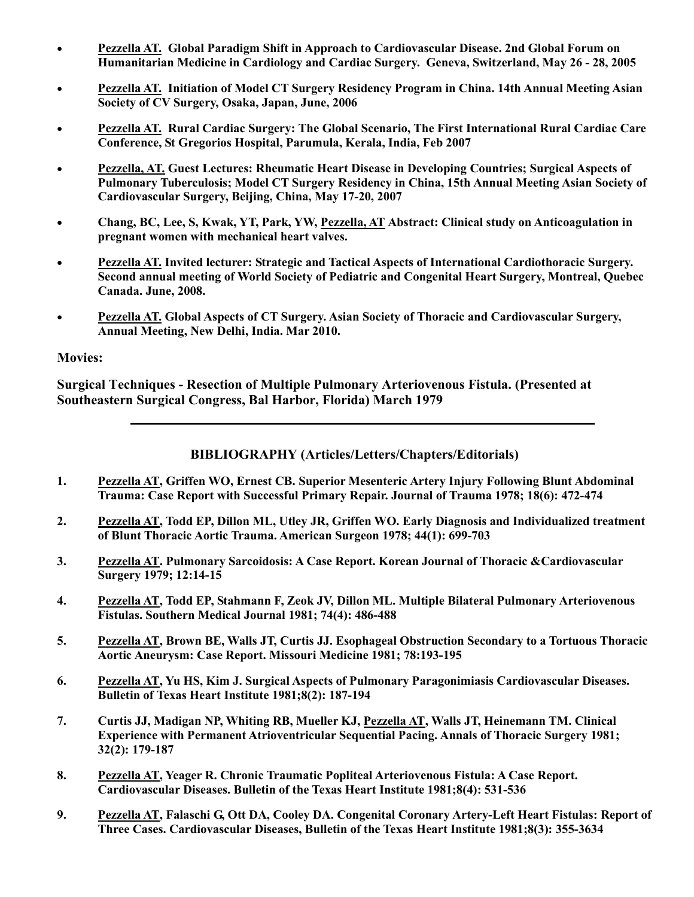- Pezzella AT. Global Paradigm Shift in Approach to Cardiovascular Disease. 2nd Global Forum on Humanitarian Medicine in Cardiology and Cardiac Surgery. Geneva, Switzerland, May 26 - 28, 2005
- Pezzella AT. Initiation of Model CT Surgery Residency Program in China. 14th Annual Meeting Asian Society of CV Surgery, Osaka, Japan, June, 2006
- Pezzella AT. Rural Cardiac Surgery: The Global Scenario, The First International Rural Cardiac Care Conference, St Gregorios Hospital, Parumula, Kerala, India, Feb 2007
- Pezzella, AT. Guest Lectures: Rheumatic Heart Disease in Developing Countries; Surgical Aspects of Pulmonary Tuberculosis; Model CT Surgery Residency in China, 15th Annual Meeting Asian Society of Cardiovascular Surgery, Beijing, China, May 17-20, 2007
- Chang, BC, Lee, S, Kwak, YT, Park, YW, Pezzella, AT Abstract: Clinical study on Anticoagulation in pregnant women with mechanical heart valves.
- Pezzella AT. Invited lecturer: Strategic and Tactical Aspects of International Cardiothoracic Surgery. Second annual meeting of World Society of Pediatric and Congenital Heart Surgery, Montreal, Quebec Canada. June, 2008.
- Pezzella AT. Global Aspects of CT Surgery. Asian Society of Thoracic and Cardiovascular Surgery, Annual Meeting, New Delhi, India. Mar 2010.

## Movies:

Surgical Techniques - Resection of Multiple Pulmonary Arteriovenous Fistula. (Presented at Southeastern Surgical Congress, Bal Harbor, Florida) March 1979

## BIBLIOGRAPHY (Articles/Letters/Chapters/Editorials)

- 1. Pezzella AT, Griffen WO, Ernest CB. Superior Mesenteric Artery Injury Following Blunt Abdominal Trauma: Case Report with Successful Primary Repair. Journal of Trauma 1978; 18(6): 472-474
- 2. Pezzella AT, Todd EP, Dillon ML, Utley JR, Griffen WO. Early Diagnosis and Individualized treatment of Blunt Thoracic Aortic Trauma. American Surgeon 1978; 44(1): 699-703
- 3. Pezzella AT. Pulmonary Sarcoidosis: A Case Report. Korean Journal of Thoracic &Cardiovascular Surgery 1979; 12:14-15
- 4. Pezzella AT, Todd EP, Stahmann F, Zeok JV, Dillon ML. Multiple Bilateral Pulmonary Arteriovenous Fistulas. Southern Medical Journal 1981; 74(4): 486-488
- 5. Pezzella AT, Brown BE, Walls JT, Curtis JJ. Esophageal Obstruction Secondary to a Tortuous Thoracic Aortic Aneurysm: Case Report. Missouri Medicine 1981; 78:193-195
- 6. Pezzella AT, Yu HS, Kim J. Surgical Aspects of Pulmonary Paragonimiasis Cardiovascular Diseases. Bulletin of Texas Heart Institute 1981;8(2): 187-194
- 7. Curtis JJ, Madigan NP, Whiting RB, Mueller KJ, Pezzella AT, Walls JT, Heinemann TM. Clinical Experience with Permanent Atrioventricular Sequential Pacing. Annals of Thoracic Surgery 1981; 32(2): 179-187
- 8. Pezzella AT, Yeager R. Chronic Traumatic Popliteal Arteriovenous Fistula: A Case Report. Cardiovascular Diseases. Bulletin of the Texas Heart Institute 1981;8(4): 531-536
- 9. Pezzella AT, Falaschi G, Ott DA, Cooley DA. Congenital Coronary Artery-Left Heart Fistulas: Report of Three Cases. Cardiovascular Diseases, Bulletin of the Texas Heart Institute 1981;8(3): 355-3634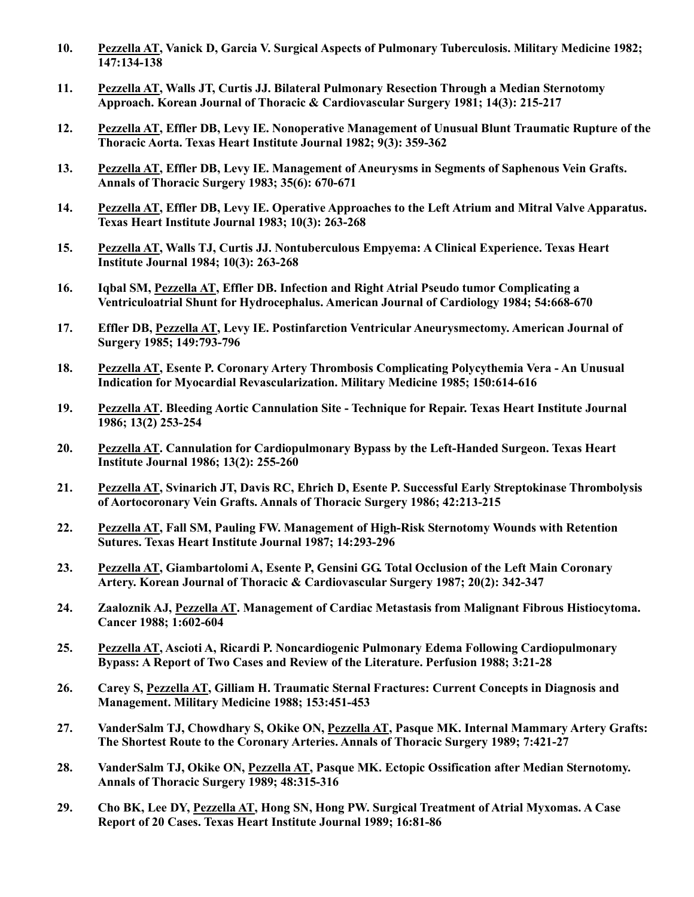- 10. Pezzella AT, Vanick D, Garcia V. Surgical Aspects of Pulmonary Tuberculosis. Military Medicine 1982;  $\overline{147:134-138}$
- 11. Pezzella AT, Walls JT, Curtis JJ. Bilateral Pulmonary Resection Through a Median Sternotomy Approach. Korean Journal of Thoracic & Cardiovascular Surgery 1981; 14(3): 215-217
- 12. Pezzella AT, Effler DB, Levy IE. Nonoperative Management of Unusual Blunt Traumatic Rupture of the Thoracic Aorta. Texas Heart Institute Journal 1982; 9(3): 359-362
- 13. Pezzella AT, Effler DB, Levy IE. Management of Aneurysms in Segments of Saphenous Vein Grafts. Annals of Thoracic Surgery 1983; 35(6): 670-671
- 14. Pezzella AT, Effler DB, Levy IE. Operative Approaches to the Left Atrium and Mitral Valve Apparatus. Texas Heart Institute Journal 1983; 10(3): 263-268
- 15. Pezzella AT, Walls TJ, Curtis JJ. Nontuberculous Empyema: A Clinical Experience. Texas Heart Institute Journal 1984; 10(3): 263-268
- 16. Iqbal SM, Pezzella AT, Effler DB. Infection and Right Atrial Pseudo tumor Complicating a Ventriculoatrial Shunt for Hydrocephalus. American Journal of Cardiology 1984; 54:668-670
- 17. Effler DB, Pezzella AT, Levy IE. Postinfarction Ventricular Aneurysmectomy. American Journal of Surgery 1985; 149:793-796
- 18. Pezzella AT, Esente P. Coronary Artery Thrombosis Complicating Polycythemia Vera An Unusual Indication for Myocardial Revascularization. Military Medicine 1985; 150:614-616
- 19. Pezzella AT. Bleeding Aortic Cannulation Site Technique for Repair. Texas Heart Institute Journal 1986; 13(2) 253-254
- 20. Pezzella AT. Cannulation for Cardiopulmonary Bypass by the Left-Handed Surgeon. Texas Heart Institute Journal 1986; 13(2): 255-260
- 21. Pezzella AT, Svinarich JT, Davis RC, Ehrich D, Esente P. Successful Early Streptokinase Thrombolysis of Aortocoronary Vein Grafts. Annals of Thoracic Surgery 1986; 42:213-215
- 22. Pezzella AT, Fall SM, Pauling FW. Management of High-Risk Sternotomy Wounds with Retention Sutures. Texas Heart Institute Journal 1987; 14:293-296
- 23. Pezzella AT, Giambartolomi A, Esente P, Gensini GG. Total Occlusion of the Left Main Coronary Artery. Korean Journal of Thoracic & Cardiovascular Surgery 1987; 20(2): 342-347
- 24. Zaaloznik AJ, Pezzella AT. Management of Cardiac Metastasis from Malignant Fibrous Histiocytoma. Cancer 1988; 1:602-604
- 25. Pezzella AT, Ascioti A, Ricardi P. Noncardiogenic Pulmonary Edema Following Cardiopulmonary Bypass: A Report of Two Cases and Review of the Literature. Perfusion 1988; 3:21-28
- 26. Carey S, Pezzella AT, Gilliam H. Traumatic Sternal Fractures: Current Concepts in Diagnosis and Management. Military Medicine 1988; 153:451-453
- 27. VanderSalm TJ, Chowdhary S, Okike ON, Pezzella AT, Pasque MK. Internal Mammary Artery Grafts: The Shortest Route to the Coronary Arteries. Annals of Thoracic Surgery 1989; 7:421-27
- 28. VanderSalm TJ, Okike ON, Pezzella AT, Pasque MK. Ectopic Ossification after Median Sternotomy. Annals of Thoracic Surgery 1989; 48:315-316
- 29. Cho BK, Lee DY, Pezzella AT, Hong SN, Hong PW. Surgical Treatment of Atrial Myxomas. A Case Report of 20 Cases. Texas Heart Institute Journal 1989; 16:81-86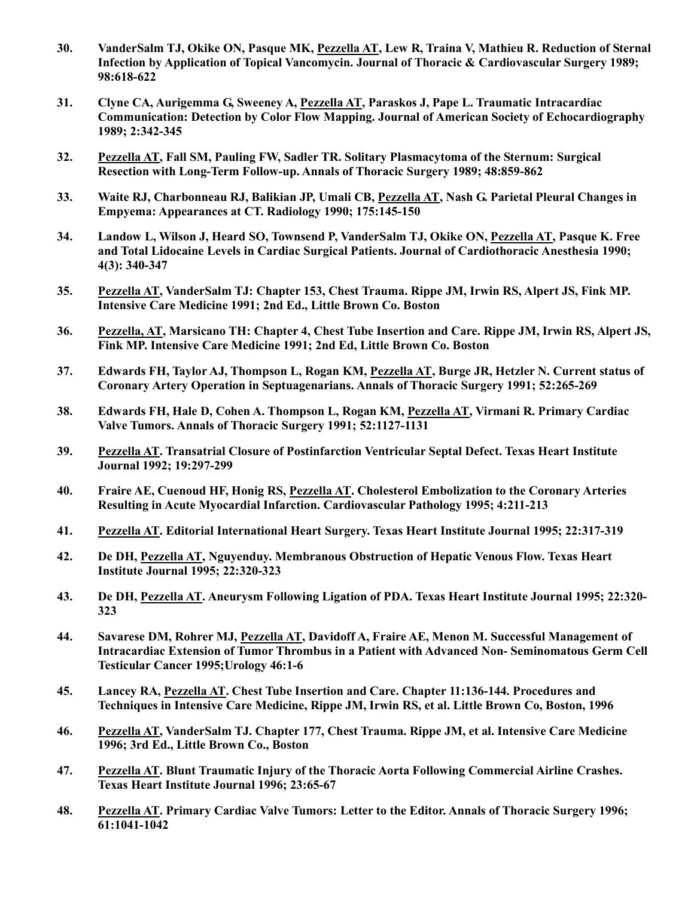- 30. VanderSalm TJ, Okike ON, Pasque MK, Pezzella AT, Lew R, Traina V, Mathieu R. Reduction of Sternal Infection by Application of Topical Vancomycin. Journal of Thoracic & Cardiovascular Surgery 1989; 98:618-622
- 31. Clyne CA, Aurigemma G, Sweeney A, Pezzella AT, Paraskos J, Pape L. Traumatic Intracardiac Communication: Detection by Color Flow Mapping. Journal of American Society of Echocardiography 1989; 2:342-345
- 32. Pezzella AT, Fall SM, Pauling FW, Sadler TR. Solitary Plasmacytoma of the Sternum: Surgical Resection with Long-Term Follow-up. Annals of Thoracic Surgery 1989; 48:859-862
- 33. Waite RJ, Charbonneau RJ, Balikian JP, Umali CB, Pezzella AT, Nash G. Parietal Pleural Changes in Empyema: Appearances at CT. Radiology 1990; 175:145-150
- 34. Landow L, Wilson J, Heard SO, Townsend P, VanderSalm TJ, Okike ON, Pezzella AT, Pasque K. Free and Total Lidocaine Levels in Cardiac Surgical Patients. Journal of Cardiothoracic Anesthesia 1990; 4(3): 340-347
- 35. Pezzella AT, VanderSalm TJ: Chapter 153, Chest Trauma. Rippe JM, Irwin RS, Alpert JS, Fink MP. Intensive Care Medicine 1991; 2nd Ed., Little Brown Co. Boston
- 36. Pezzella, AT, Marsicano TH: Chapter 4, Chest Tube Insertion and Care. Rippe JM, Irwin RS, Alpert JS, Fink MP. Intensive Care Medicine 1991; 2nd Ed, Little Brown Co. Boston
- 37. Edwards FH, Taylor AJ, Thompson L, Rogan KM, Pezzella AT, Burge JR, Hetzler N. Current status of Coronary Artery Operation in Septuagenarians. Annals of Thoracic Surgery 1991; 52:265-269
- 38. Edwards FH, Hale D, Cohen A. Thompson L, Rogan KM, Pezzella AT, Virmani R. Primary Cardiac Valve Tumors. Annals of Thoracic Surgery 1991; 52:1127-1131
- 39. Pezzella AT. Transatrial Closure of Postinfarction Ventricular Septal Defect. Texas Heart Institute Journal 1992; 19:297-299
- 40. Fraire AE, Cuenoud HF, Honig RS, Pezzella AT. Cholesterol Embolization to the Coronary Arteries Resulting in Acute Myocardial Infarction. Cardiovascular Pathology 1995; 4:211-213
- 41. Pezzella AT. Editorial International Heart Surgery. Texas Heart Institute Journal 1995; 22:317-319
- 42. De DH, Pezzella AT, Nguyenduy. Membranous Obstruction of Hepatic Venous Flow. Texas Heart Institute Journal 1995; 22:320-323
- 43. De DH, Pezzella AT. Aneurysm Following Ligation of PDA. Texas Heart Institute Journal 1995; 22:320- 323
- 44. Savarese DM, Rohrer MJ, Pezzella AT, Davidoff A, Fraire AE, Menon M. Successful Management of Intracardiac Extension of Tumor Thrombus in a Patient with Advanced Non- Seminomatous Germ Cell Testicular Cancer 1995;Urology 46:1-6
- 45. Lancey RA, Pezzella AT. Chest Tube Insertion and Care. Chapter 11:136-144. Procedures and Techniques in Intensive Care Medicine, Rippe JM, Irwin RS, et al. Little Brown Co, Boston, 1996
- 46. Pezzella AT, VanderSalm TJ. Chapter 177, Chest Trauma. Rippe JM, et al. Intensive Care Medicine 1996; 3rd Ed., Little Brown Co., Boston
- 47. Pezzella AT. Blunt Traumatic Injury of the Thoracic Aorta Following Commercial Airline Crashes. Texas Heart Institute Journal 1996; 23:65-67
- 48. Pezzella AT. Primary Cardiac Valve Tumors: Letter to the Editor. Annals of Thoracic Surgery 1996; 61:1041-1042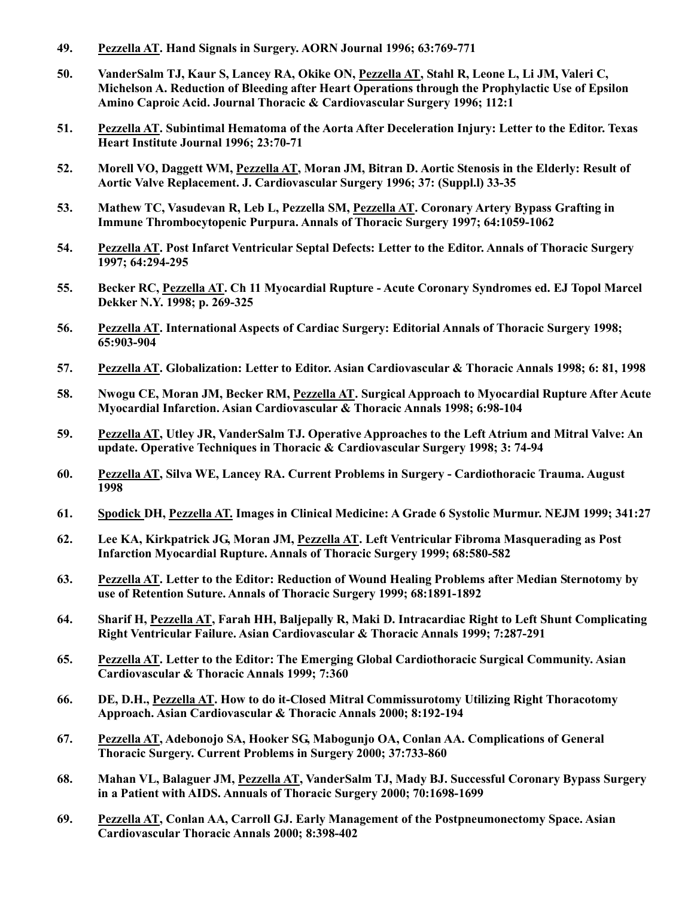- 49. Pezzella AT. Hand Signals in Surgery. AORN Journal 1996; 63:769-771
- 50. VanderSalm TJ, Kaur S, Lancey RA, Okike ON, Pezzella AT, Stahl R, Leone L, Li JM, Valeri C, Michelson A. Reduction of Bleeding after Heart Operations through the Prophylactic Use of Epsilon Amino Caproic Acid. Journal Thoracic & Cardiovascular Surgery 1996; 112:1
- 51. Pezzella AT. Subintimal Hematoma of the Aorta After Deceleration Injury: Letter to the Editor. Texas Heart Institute Journal 1996; 23:70-71
- 52. Morell VO, Daggett WM, Pezzella AT, Moran JM, Bitran D. Aortic Stenosis in the Elderly: Result of Aortic Valve Replacement. J. Cardiovascular Surgery 1996; 37: (Suppl.l) 33-35
- 53. Mathew TC, Vasudevan R, Leb L, Pezzella SM, Pezzella AT. Coronary Artery Bypass Grafting in Immune Thrombocytopenic Purpura. Annals of Thoracic Surgery 1997; 64:1059-1062
- 54. Pezzella AT. Post Infarct Ventricular Septal Defects: Letter to the Editor. Annals of Thoracic Surgery 1997; 64:294-295
- 55. Becker RC, Pezzella AT. Ch 11 Myocardial Rupture Acute Coronary Syndromes ed. EJ Topol Marcel Dekker N.Y. 1998; p. 269-325
- 56. Pezzella AT. International Aspects of Cardiac Surgery: Editorial Annals of Thoracic Surgery 1998; 65:903-904
- 57. Pezzella AT. Globalization: Letter to Editor. Asian Cardiovascular & Thoracic Annals 1998; 6: 81, 1998
- 58. Nwogu CE, Moran JM, Becker RM, Pezzella AT. Surgical Approach to Myocardial Rupture After Acute Myocardial Infarction. Asian Cardiovascular & Thoracic Annals 1998; 6:98-104
- 59. Pezzella AT, Utley JR, VanderSalm TJ. Operative Approaches to the Left Atrium and Mitral Valve: An update. Operative Techniques in Thoracic & Cardiovascular Surgery 1998; 3: 74-94
- 60. Pezzella AT, Silva WE, Lancey RA. Current Problems in Surgery Cardiothoracic Trauma. August 1998
- 61. Spodick DH, Pezzella AT. Images in Clinical Medicine: A Grade 6 Systolic Murmur. NEJM 1999; 341:27
- 62. Lee KA, Kirkpatrick JG, Moran JM, Pezzella AT. Left Ventricular Fibroma Masquerading as Post Infarction Myocardial Rupture. Annals of Thoracic Surgery 1999; 68:580-582
- 63. Pezzella AT. Letter to the Editor: Reduction of Wound Healing Problems after Median Sternotomy by use of Retention Suture. Annals of Thoracic Surgery 1999; 68:1891-1892
- 64. Sharif H, Pezzella AT, Farah HH, Baljepally R, Maki D. Intracardiac Right to Left Shunt Complicating Right Ventricular Failure. Asian Cardiovascular & Thoracic Annals 1999; 7:287-291
- 65. Pezzella AT. Letter to the Editor: The Emerging Global Cardiothoracic Surgical Community. Asian Cardiovascular & Thoracic Annals 1999; 7:360
- 66. DE, D.H., Pezzella AT. How to do it-Closed Mitral Commissurotomy Utilizing Right Thoracotomy Approach. Asian Cardiovascular & Thoracic Annals 2000; 8:192-194
- 67. Pezzella AT, Adebonojo SA, Hooker SG, Mabogunjo OA, Conlan AA. Complications of General Thoracic Surgery. Current Problems in Surgery 2000; 37:733-860
- 68. Mahan VL, Balaguer JM, Pezzella AT, VanderSalm TJ, Mady BJ. Successful Coronary Bypass Surgery in a Patient with AIDS. Annuals of Thoracic Surgery 2000; 70:1698-1699
- 69. Pezzella AT, Conlan AA, Carroll GJ. Early Management of the Postpneumonectomy Space. Asian Cardiovascular Thoracic Annals 2000; 8:398-402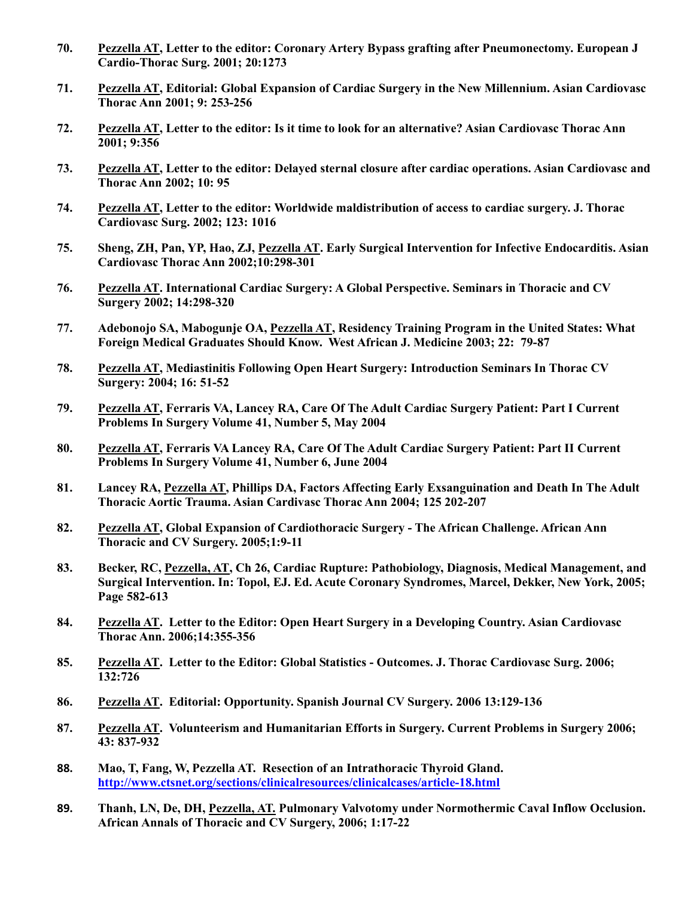- 70. Pezzella AT, Letter to the editor: Coronary Artery Bypass grafting after Pneumonectomy. European J Cardio-Thorac Surg. 2001; 20:1273
- 71. Pezzella AT, Editorial: Global Expansion of Cardiac Surgery in the New Millennium. Asian Cardiovasc Thorac Ann 2001; 9: 253-256
- 72. Pezzella AT, Letter to the editor: Is it time to look for an alternative? Asian Cardiovasc Thorac Ann 2001; 9:356
- 73. Pezzella AT, Letter to the editor: Delayed sternal closure after cardiac operations. Asian Cardiovasc and Thorac Ann 2002; 10: 95
- 74. Pezzella AT, Letter to the editor: Worldwide maldistribution of access to cardiac surgery. J. Thorac Cardiovasc Surg. 2002; 123: 1016
- 75. Sheng, ZH, Pan, YP, Hao, ZJ, Pezzella AT. Early Surgical Intervention for Infective Endocarditis. Asian Cardiovasc Thorac Ann 2002;10:298-301
- 76. Pezzella AT. International Cardiac Surgery: A Global Perspective. Seminars in Thoracic and CV Surgery 2002; 14:298-320
- 77. Adebonojo SA, Mabogunje OA, Pezzella AT, Residency Training Program in the United States: What Foreign Medical Graduates Should Know. West African J. Medicine 2003; 22: 79-87
- 78. Pezzella AT, Mediastinitis Following Open Heart Surgery: Introduction Seminars In Thorac CV Surgery: 2004; 16: 51-52
- 79. Pezzella AT, Ferraris VA, Lancey RA, Care Of The Adult Cardiac Surgery Patient: Part I Current Problems In Surgery Volume 41, Number 5, May 2004
- 80. Pezzella AT, Ferraris VA Lancey RA, Care Of The Adult Cardiac Surgery Patient: Part II Current Problems In Surgery Volume 41, Number 6, June 2004
- 81. Lancey RA, Pezzella AT, Phillips DA, Factors Affecting Early Exsanguination and Death In The Adult Thoracic Aortic Trauma. Asian Cardivasc Thorac Ann 2004; 125 202-207
- 82. Pezzella AT, Global Expansion of Cardiothoracic Surgery The African Challenge. African Ann Thoracic and CV Surgery. 2005;1:9-11
- 83. Becker, RC, Pezzella, AT, Ch 26, Cardiac Rupture: Pathobiology, Diagnosis, Medical Management, and Surgical Intervention. In: Topol, EJ. Ed. Acute Coronary Syndromes, Marcel, Dekker, New York, 2005; Page 582-613
- 84. Pezzella AT. Letter to the Editor: Open Heart Surgery in a Developing Country. Asian Cardiovasc Thorac Ann. 2006;14:355-356
- 85. Pezzella AT. Letter to the Editor: Global Statistics Outcomes. J. Thorac Cardiovasc Surg. 2006;  $132:726$
- 86. Pezzella AT. Editorial: Opportunity. Spanish Journal CV Surgery. 2006 13:129-136
- 87. Pezzella AT. Volunteerism and Humanitarian Efforts in Surgery. Current Problems in Surgery 2006; 43: 837-932
- 88. Mao, T, Fang, W, Pezzella AT. Resection of an Intrathoracic Thyroid Gland. http://www.ctsnet.org/sections/clinicalresources/clinicalcases/article-18.html
- 89. Thanh, LN, De, DH, Pezzella, AT. Pulmonary Valvotomy under Normothermic Caval Inflow Occlusion. African Annals of Thoracic and CV Surgery, 2006; 1:17-22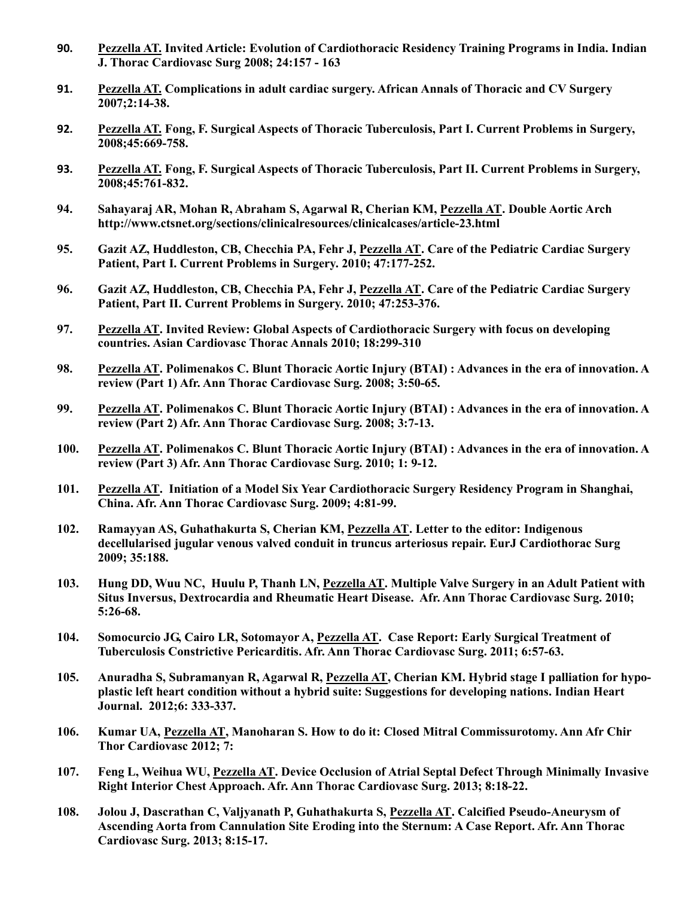- 90. Pezzella AT. Invited Article: Evolution of Cardiothoracic Residency Training Programs in India. Indian J. Thorac Cardiovasc Surg 2008; 24:157 - 163
- 91. Pezzella AT. Complications in adult cardiac surgery. African Annals of Thoracic and CV Surgery 2007;2:14-38.
- 92. Pezzella AT. Fong, F. Surgical Aspects of Thoracic Tuberculosis, Part I. Current Problems in Surgery, 2008;45:669-758.
- 93. Pezzella AT. Fong, F. Surgical Aspects of Thoracic Tuberculosis, Part II. Current Problems in Surgery, 2008;45:761-832.
- 94. Sahayaraj AR, Mohan R, Abraham S, Agarwal R, Cherian KM, Pezzella AT. Double Aortic Arch http://www.ctsnet.org/sections/clinicalresources/clinicalcases/article-23.html
- 95. Gazit AZ, Huddleston, CB, Checchia PA, Fehr J, Pezzella AT. Care of the Pediatric Cardiac Surgery Patient, Part I. Current Problems in Surgery. 2010; 47:177-252.
- 96. Gazit AZ, Huddleston, CB, Checchia PA, Fehr J, Pezzella AT. Care of the Pediatric Cardiac Surgery Patient, Part II. Current Problems in Surgery. 2010; 47:253-376.
- 97. Pezzella AT. Invited Review: Global Aspects of Cardiothoracic Surgery with focus on developing countries. Asian Cardiovasc Thorac Annals 2010; 18:299-310
- 98. Pezzella AT. Polimenakos C. Blunt Thoracic Aortic Injury (BTAI) : Advances in the era of innovation. A review (Part 1) Afr. Ann Thorac Cardiovasc Surg. 2008; 3:50-65.
- 99. Pezzella AT. Polimenakos C. Blunt Thoracic Aortic Injury (BTAI) : Advances in the era of innovation. A review (Part 2) Afr. Ann Thorac Cardiovasc Surg. 2008; 3:7-13.
- 100. Pezzella AT. Polimenakos C. Blunt Thoracic Aortic Injury (BTAI) : Advances in the era of innovation. A review (Part 3) Afr. Ann Thorac Cardiovasc Surg. 2010; 1: 9-12.
- 101. Pezzella AT. Initiation of a Model Six Year Cardiothoracic Surgery Residency Program in Shanghai, China. Afr. Ann Thorac Cardiovasc Surg. 2009; 4:81-99.
- 102. Ramayyan AS, Guhathakurta S, Cherian KM, Pezzella AT. Letter to the editor: Indigenous decellularised jugular venous valved conduit in truncus arteriosus repair. EurJ Cardiothorac Surg 2009; 35:188.
- 103. Hung DD, Wuu NC, Huulu P, Thanh LN, Pezzella AT. Multiple Valve Surgery in an Adult Patient with Situs Inversus, Dextrocardia and Rheumatic Heart Disease. Afr. Ann Thorac Cardiovasc Surg. 2010; 5:26-68.
- 104. Somocurcio JG, Cairo LR, Sotomayor A, Pezzella AT. Case Report: Early Surgical Treatment of Tuberculosis Constrictive Pericarditis. Afr. Ann Thorac Cardiovasc Surg. 2011; 6:57-63.
- 105. Anuradha S, Subramanyan R, Agarwal R, Pezzella AT, Cherian KM. Hybrid stage I palliation for hypoplastic left heart condition without a hybrid suite: Suggestions for developing nations. Indian Heart Journal. 2012;6: 333-337.
- 106. Kumar UA, Pezzella AT, Manoharan S. How to do it: Closed Mitral Commissurotomy. Ann Afr Chir Thor Cardiovasc 2012; 7:
- 107. Feng L, Weihua WU, Pezzella AT. Device Occlusion of Atrial Septal Defect Through Minimally Invasive Right Interior Chest Approach. Afr. Ann Thorac Cardiovasc Surg. 2013; 8:18-22.
- 108. Jolou J, Dascrathan C, Valjyanath P, Guhathakurta S, Pezzella AT. Calcified Pseudo-Aneurysm of Ascending Aorta from Cannulation Site Eroding into the Sternum: A Case Report. Afr. Ann Thorac Cardiovasc Surg. 2013; 8:15-17.